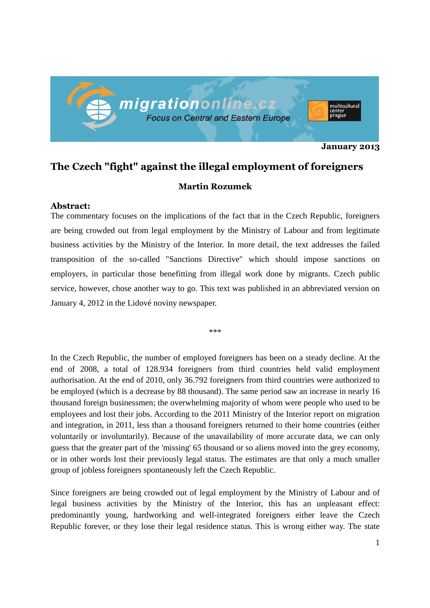

**January 2013** 

## **The Czech "fight" against the illegal employment of foreigners**

## **Martin Rozumek**

## **Abstract:**

The commentary focuses on the implications of the fact that in the Czech Republic, foreigners are being crowded out from legal employment by the Ministry of Labour and from legitimate business activities by the Ministry of the Interior. In more detail, the text addresses the failed transposition of the so-called "Sanctions Directive" which should impose sanctions on employers, in particular those benefitting from illegal work done by migrants. Czech public service, however, chose another way to go. This text was published in an abbreviated version on January 4, 2012 in the Lidové noviny newspaper.

\*\*\*

In the Czech Republic, the number of employed foreigners has been on a steady decline. At the end of 2008, a total of 128.934 foreigners from third countries held valid employment authorisation. At the end of 2010, only 36.792 foreigners from third countries were authorized to be employed (which is a decrease by 88 thousand). The same period saw an increase in nearly 16 thousand foreign businessmen; the overwhelming majority of whom were people who used to be employees and lost their jobs. According to the 2011 Ministry of the Interior report on migration and integration, in 2011, less than a thousand foreigners returned to their home countries (either voluntarily or involuntarily). Because of the unavailability of more accurate data, we can only guess that the greater part of the 'missing' 65 thousand or so aliens moved into the grey economy, or in other words lost their previously legal status. The estimates are that only a much smaller group of jobless foreigners spontaneously left the Czech Republic.

Since foreigners are being crowded out of legal employment by the Ministry of Labour and of legal business activities by the Ministry of the Interior, this has an unpleasant effect: predominantly young, hardworking and well-integrated foreigners either leave the Czech Republic forever, or they lose their legal residence status. This is wrong either way. The state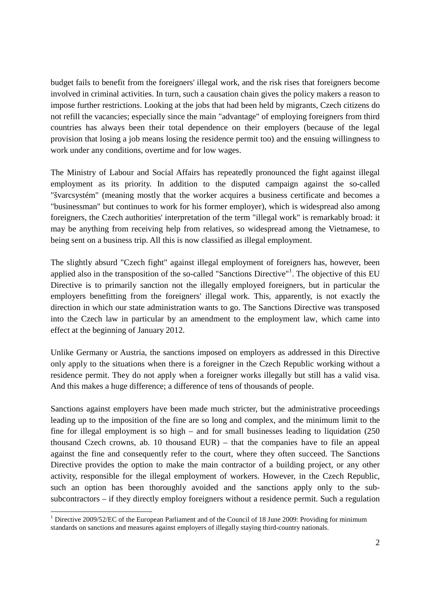budget fails to benefit from the foreigners' illegal work, and the risk rises that foreigners become involved in criminal activities. In turn, such a causation chain gives the policy makers a reason to impose further restrictions. Looking at the jobs that had been held by migrants, Czech citizens do not refill the vacancies; especially since the main "advantage" of employing foreigners from third countries has always been their total dependence on their employers (because of the legal provision that losing a job means losing the residence permit too) and the ensuing willingness to work under any conditions, overtime and for low wages.

The Ministry of Labour and Social Affairs has repeatedly pronounced the fight against illegal employment as its priority. In addition to the disputed campaign against the so-called "švarcsystém" (meaning mostly that the worker acquires a business certificate and becomes a "businessman" but continues to work for his former employer), which is widespread also among foreigners, the Czech authorities' interpretation of the term "illegal work" is remarkably broad: it may be anything from receiving help from relatives, so widespread among the Vietnamese, to being sent on a business trip. All this is now classified as illegal employment.

The slightly absurd "Czech fight" against illegal employment of foreigners has, however, been applied also in the transposition of the so-called "Sanctions Directive"<sup>1</sup>. The objective of this EU Directive is to primarily sanction not the illegally employed foreigners, but in particular the employers benefitting from the foreigners' illegal work. This, apparently, is not exactly the direction in which our state administration wants to go. The Sanctions Directive was transposed into the Czech law in particular by an amendment to the employment law, which came into effect at the beginning of January 2012.

Unlike Germany or Austria, the sanctions imposed on employers as addressed in this Directive only apply to the situations when there is a foreigner in the Czech Republic working without a residence permit. They do not apply when a foreigner works illegally but still has a valid visa. And this makes a huge difference; a difference of tens of thousands of people.

Sanctions against employers have been made much stricter, but the administrative proceedings leading up to the imposition of the fine are so long and complex, and the minimum limit to the fine for illegal employment is so high – and for small businesses leading to liquidation (250 thousand Czech crowns, ab. 10 thousand EUR) – that the companies have to file an appeal against the fine and consequently refer to the court, where they often succeed. The Sanctions Directive provides the option to make the main contractor of a building project, or any other activity, responsible for the illegal employment of workers. However, in the Czech Republic, such an option has been thoroughly avoided and the sanctions apply only to the subsubcontractors – if they directly employ foreigners without a residence permit. Such a regulation

l,

<sup>&</sup>lt;sup>1</sup> Directive 2009/52/EC of the European Parliament and of the Council of 18 June 2009: Providing for minimum standards on sanctions and measures against employers of illegally staying third-country nationals.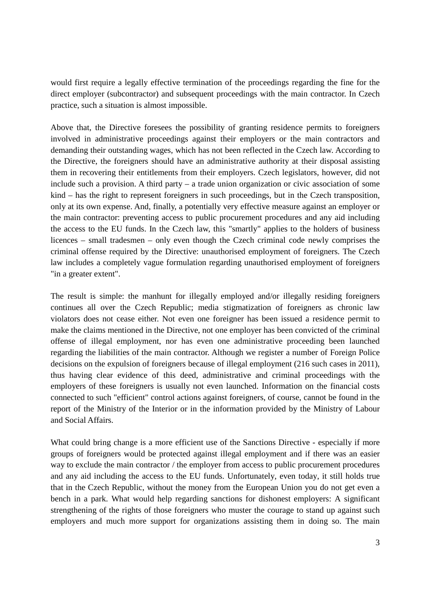would first require a legally effective termination of the proceedings regarding the fine for the direct employer (subcontractor) and subsequent proceedings with the main contractor. In Czech practice, such a situation is almost impossible.

Above that, the Directive foresees the possibility of granting residence permits to foreigners involved in administrative proceedings against their employers or the main contractors and demanding their outstanding wages, which has not been reflected in the Czech law. According to the Directive, the foreigners should have an administrative authority at their disposal assisting them in recovering their entitlements from their employers. Czech legislators, however, did not include such a provision. A third party – a trade union organization or civic association of some kind – has the right to represent foreigners in such proceedings, but in the Czech transposition, only at its own expense. And, finally, a potentially very effective measure against an employer or the main contractor: preventing access to public procurement procedures and any aid including the access to the EU funds. In the Czech law, this "smartly" applies to the holders of business licences – small tradesmen – only even though the Czech criminal code newly comprises the criminal offense required by the Directive: unauthorised employment of foreigners. The Czech law includes a completely vague formulation regarding unauthorised employment of foreigners "in a greater extent".

The result is simple: the manhunt for illegally employed and/or illegally residing foreigners continues all over the Czech Republic; media stigmatization of foreigners as chronic law violators does not cease either. Not even one foreigner has been issued a residence permit to make the claims mentioned in the Directive, not one employer has been convicted of the criminal offense of illegal employment, nor has even one administrative proceeding been launched regarding the liabilities of the main contractor. Although we register a number of Foreign Police decisions on the expulsion of foreigners because of illegal employment (216 such cases in 2011), thus having clear evidence of this deed, administrative and criminal proceedings with the employers of these foreigners is usually not even launched. Information on the financial costs connected to such "efficient" control actions against foreigners, of course, cannot be found in the report of the Ministry of the Interior or in the information provided by the Ministry of Labour and Social Affairs.

What could bring change is a more efficient use of the Sanctions Directive - especially if more groups of foreigners would be protected against illegal employment and if there was an easier way to exclude the main contractor / the employer from access to public procurement procedures and any aid including the access to the EU funds. Unfortunately, even today, it still holds true that in the Czech Republic, without the money from the European Union you do not get even a bench in a park. What would help regarding sanctions for dishonest employers: A significant strengthening of the rights of those foreigners who muster the courage to stand up against such employers and much more support for organizations assisting them in doing so. The main